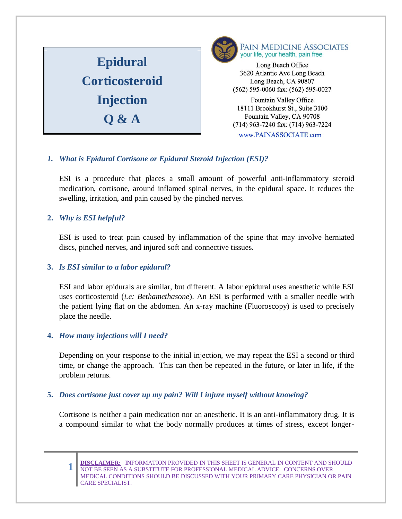



Long Beach Office 3620 Atlantic Ave Long Beach Long Beach, CA 90807 (562) 595-0060 fax: (562) 595-0027

**Fountain Valley Office**  $1850 \text{ m}$  $tan\$  valley,  $C$ *F* (714) 963-7240 fax: (714) 963-7224 www.PAINASSOCIATE.com

# *1. What is Epidural Cortisone or Epidural Steroid Injection (ESI)?*

ESI is a procedure that places a small amount of powerful anti-inflammatory steroid medication, cortisone, around inflamed spinal nerves, in the epidural space. It reduces the swelling, irritation, and pain caused by the pinched nerves.

### **2.** *Why is ESI helpful?*

ESI is used to treat pain caused by inflammation of the spine that may involve herniated discs, pinched nerves, and injured soft and connective tissues.

# **3.** *Is ESI similar to a labor epidural?*

ESI and labor epidurals are similar, but different. A labor epidural uses anesthetic while ESI uses corticosteroid (*i.e: Bethamethasone*). An ESI is performed with a smaller needle with the patient lying flat on the abdomen. An x-ray machine (Fluoroscopy) is used to precisely place the needle.

# **4.** *How many injections will I need?*

Depending on your response to the initial injection, we may repeat the ESI a second or third time, or change the approach. This can then be repeated in the future, or later in life, if the problem returns.

### **5.** *Does cortisone just cover up my pain? Will I injure myself without knowing?*

Cortisone is neither a pain medication nor an anesthetic. It is an anti-inflammatory drug. It is a compound similar to what the body normally produces at times of stress, except longer